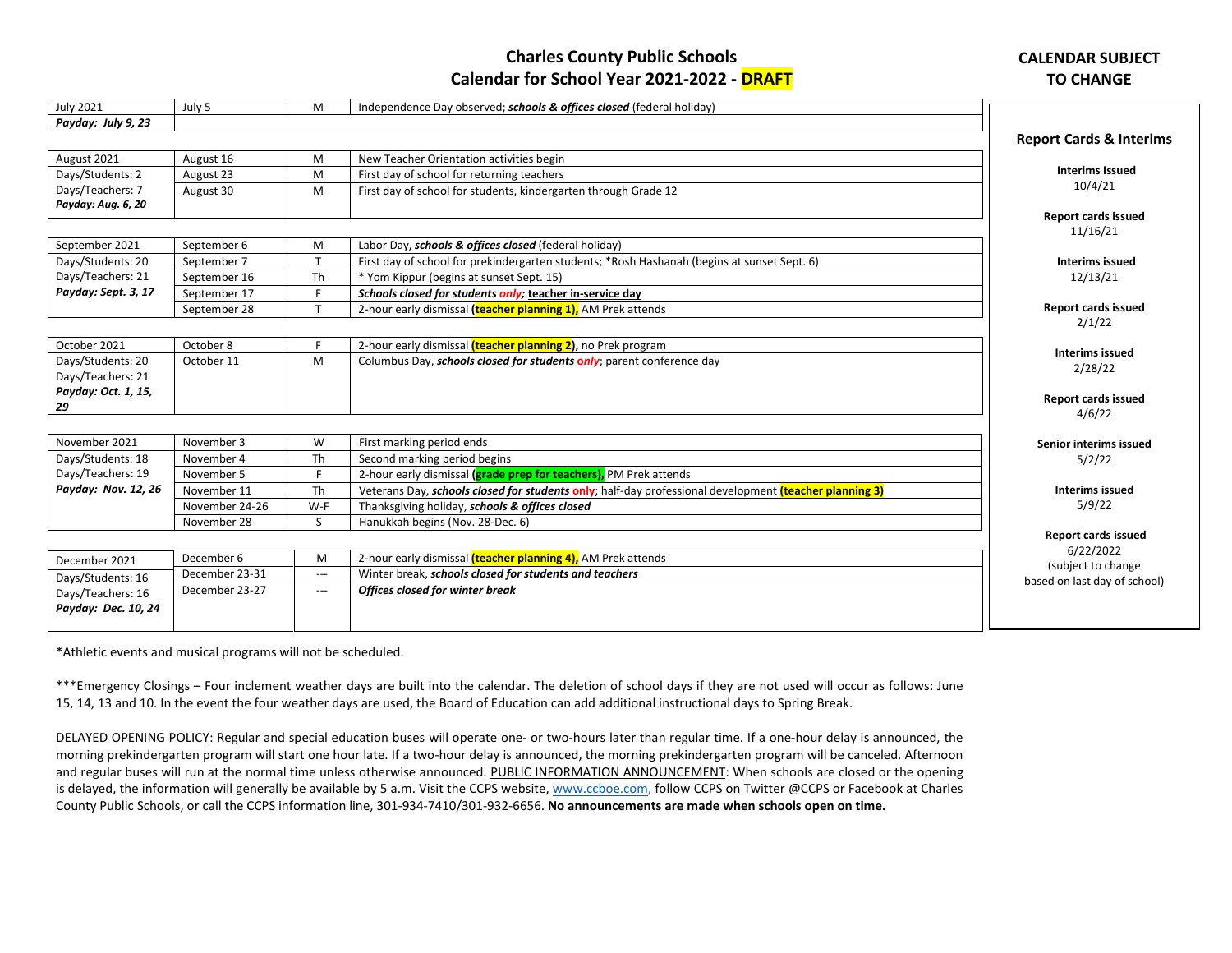## **Charles County Public Schools Calendar for School Year 2021-2022 - DRAFT**

## **CALENDAR SUBJECT TO CHANGE**

| <b>July 2021</b>    | July 5         | M                   | Independence Day observed; schools & offices closed (federal holiday)                                  |                                    |
|---------------------|----------------|---------------------|--------------------------------------------------------------------------------------------------------|------------------------------------|
| Payday: July 9, 23  |                |                     |                                                                                                        |                                    |
|                     |                |                     |                                                                                                        | <b>Report Cards &amp; Interims</b> |
| August 2021         | August 16      | M                   | New Teacher Orientation activities begin                                                               |                                    |
| Days/Students: 2    | August 23      | M                   | First day of school for returning teachers                                                             | <b>Interims Issued</b>             |
| Days/Teachers: 7    | August 30      | M                   | First day of school for students, kindergarten through Grade 12                                        | 10/4/21                            |
| Payday: Aug. 6, 20  |                |                     |                                                                                                        |                                    |
|                     |                |                     |                                                                                                        | <b>Report cards issued</b>         |
| September 2021      | September 6    | M                   | Labor Day, schools & offices closed (federal holiday)                                                  | 11/16/21                           |
| Days/Students: 20   | September 7    |                     | First day of school for prekindergarten students; *Rosh Hashanah (begins at sunset Sept. 6)            |                                    |
| Days/Teachers: 21   |                |                     |                                                                                                        | <b>Interims issued</b>             |
|                     | September 16   | Th<br>E             | * Yom Kippur (begins at sunset Sept. 15)                                                               | 12/13/21                           |
| Payday: Sept. 3, 17 | September 17   |                     | Schools closed for students only; teacher in-service day                                               | <b>Report cards issued</b>         |
|                     | September 28   |                     | 2-hour early dismissal (teacher planning 1), AM Prek attends                                           | 2/1/22                             |
|                     |                |                     |                                                                                                        |                                    |
| October 2021        | October 8      |                     | 2-hour early dismissal <i>(teacher planning 2)</i> , no Prek program                                   | <b>Interims issued</b>             |
| Days/Students: 20   | October 11     | M                   | Columbus Day, schools closed for students only; parent conference day                                  | 2/28/22                            |
| Days/Teachers: 21   |                |                     |                                                                                                        |                                    |
| Payday: Oct. 1, 15, |                |                     |                                                                                                        | <b>Report cards issued</b>         |
| 29                  |                |                     |                                                                                                        | 4/6/22                             |
|                     |                |                     |                                                                                                        |                                    |
| November 2021       | November 3     | W                   | First marking period ends                                                                              | Senior interims issued             |
| Days/Students: 18   | November 4     | Th                  | Second marking period begins                                                                           | 5/2/22                             |
| Days/Teachers: 19   | November 5     | E.                  | 2-hour early dismissal ( <b>grade prep for teachers)</b> , PM Prek attends                             |                                    |
| Payday: Nov. 12, 26 | November 11    | Th                  | Veterans Day, schools closed for students only; half-day professional development (teacher planning 3) | <b>Interims issued</b>             |
|                     | November 24-26 | W-F                 | Thanksgiving holiday, schools & offices closed                                                         | 5/9/22                             |
|                     | November 28    | S.                  | Hanukkah begins (Nov. 28-Dec. 6)                                                                       |                                    |
|                     |                |                     |                                                                                                        | <b>Report cards issued</b>         |
| December 2021       | December 6     | M                   | 2-hour early dismissal <i>(teacher planning 4)</i> , AM Prek attends                                   | 6/22/2022                          |
|                     | December 23-31 | $\qquad \qquad - -$ | Winter break, schools closed for students and teachers                                                 | (subject to change                 |
| Days/Students: 16   | December 23-27 | ---                 | <b>Offices closed for winter break</b>                                                                 | based on last day of school)       |
| Days/Teachers: 16   |                |                     |                                                                                                        |                                    |
| Payday: Dec. 10, 24 |                |                     |                                                                                                        |                                    |
|                     |                |                     |                                                                                                        |                                    |

\*Athletic events and musical programs will not be scheduled.

\*\*\*Emergency Closings – Four inclement weather days are built into the calendar. The deletion of school days if they are not used will occur as follows: June 15, 14, 13 and 10. In the event the four weather days are used, the Board of Education can add additional instructional days to Spring Break.

DELAYED OPENING POLICY: Regular and special education buses will operate one- or two-hours later than regular time. If a one-hour delay is announced, the morning prekindergarten program will start one hour late. If a two-hour delay is announced, the morning prekindergarten program will be canceled. Afternoon and regular buses will run at the normal time unless otherwise announced. PUBLIC INFORMATION ANNOUNCEMENT: When schools are closed or the opening is delayed, the information will generally be available by 5 a.m. Visit the CCPS website[, www.ccboe.com,](http://www.ccboe.com/) follow CCPS on Twitter @CCPS or Facebook at Charles County Public Schools, or call the CCPS information line, 301-934-7410/301-932-6656. **No announcements are made when schools open on time.**